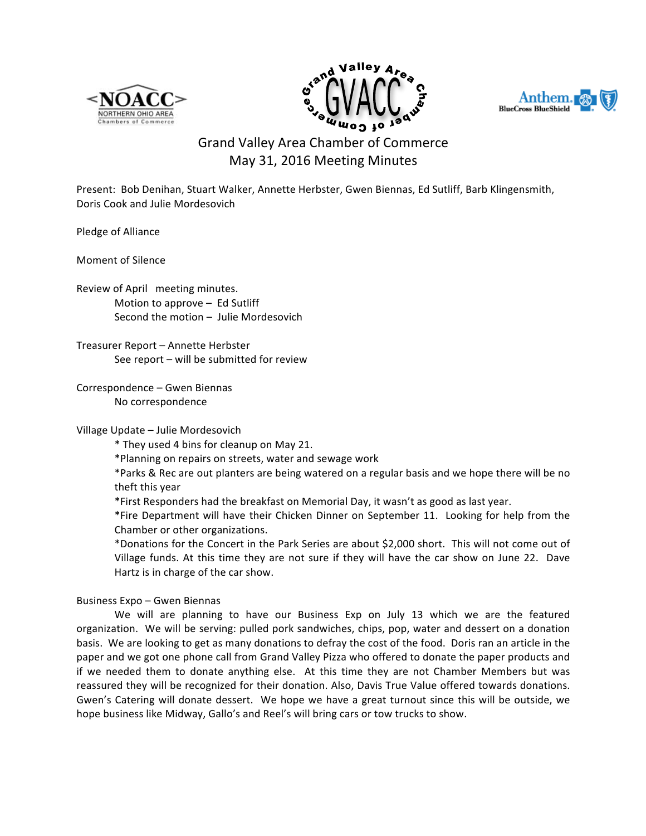





## Grand Valley Area Chamber of Commerce May 31, 2016 Meeting Minutes

Present: Bob Denihan, Stuart Walker, Annette Herbster, Gwen Biennas, Ed Sutliff, Barb Klingensmith, Doris Cook and Julie Mordesovich

Pledge of Alliance

Moment of Silence

Review of April meeting minutes. Motion to approve  $-$  Ed Sutliff Second the motion  $-$  Julie Mordesovich

Treasurer Report - Annette Herbster See  $report - will be submitted for review$ 

Correspondence - Gwen Biennas No correspondence

## Village Update - Julie Mordesovich

\* They used 4 bins for cleanup on May 21.

\*Planning on repairs on streets, water and sewage work

\*Parks & Rec are out planters are being watered on a regular basis and we hope there will be no theft this year

\*First Responders had the breakfast on Memorial Day, it wasn't as good as last year.

\*Fire Department will have their Chicken Dinner on September 11. Looking for help from the Chamber or other organizations.

\*Donations for the Concert in the Park Series are about \$2,000 short. This will not come out of Village funds. At this time they are not sure if they will have the car show on June 22. Dave Hartz is in charge of the car show.

## Business Expo – Gwen Biennas

We will are planning to have our Business Exp on July 13 which we are the featured organization. We will be serving: pulled pork sandwiches, chips, pop, water and dessert on a donation basis. We are looking to get as many donations to defray the cost of the food. Doris ran an article in the paper and we got one phone call from Grand Valley Pizza who offered to donate the paper products and if we needed them to donate anything else. At this time they are not Chamber Members but was reassured they will be recognized for their donation. Also, Davis True Value offered towards donations. Gwen's Catering will donate dessert. We hope we have a great turnout since this will be outside, we hope business like Midway, Gallo's and Reel's will bring cars or tow trucks to show.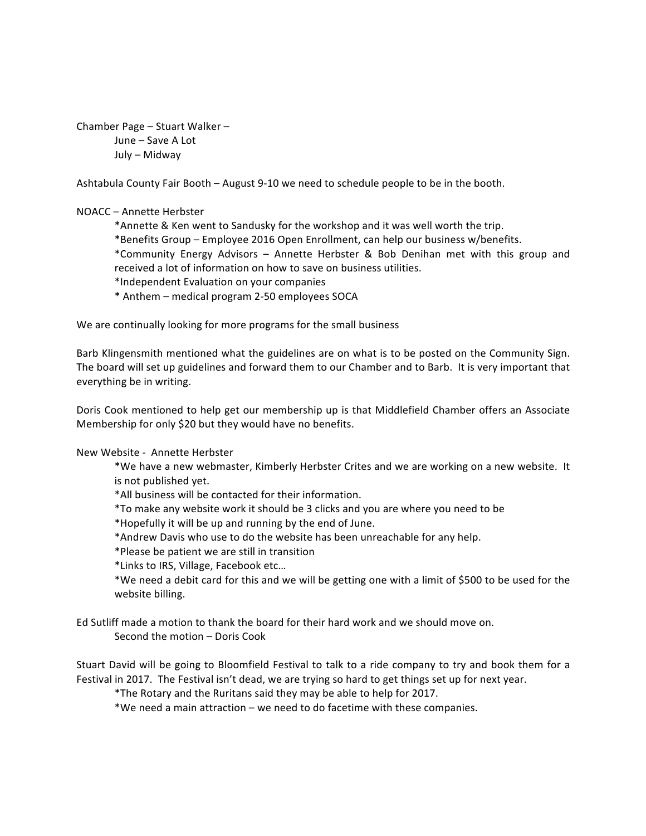```
Chamber Page – Stuart Walker –
June – Save A Lot
July – Midway
```
Ashtabula County Fair Booth  $-$  August 9-10 we need to schedule people to be in the booth.

## NOACC – Annette Herbster

\*Annette & Ken went to Sandusky for the workshop and it was well worth the trip.

\*Benefits Group – Employee 2016 Open Enrollment, can help our business w/benefits.

\*Community Energy Advisors – Annette Herbster & Bob Denihan met with this group and received a lot of information on how to save on business utilities.

\*Independent Evaluation on your companies

\* Anthem – medical program 2-50 employees SOCA

We are continually looking for more programs for the small business

Barb Klingensmith mentioned what the guidelines are on what is to be posted on the Community Sign. The board will set up guidelines and forward them to our Chamber and to Barb. It is very important that everything be in writing.

Doris Cook mentioned to help get our membership up is that Middlefield Chamber offers an Associate Membership for only \$20 but they would have no benefits.

New Website - Annette Herbster

\*We have a new webmaster, Kimberly Herbster Crites and we are working on a new website. It is not published yet.

\*All business will be contacted for their information.

\*To make any website work it should be 3 clicks and you are where you need to be

\*Hopefully it will be up and running by the end of June.

\*Andrew Davis who use to do the website has been unreachable for any help.

\*Please be patient we are still in transition

\*Links to IRS, Village, Facebook etc…

\*We need a debit card for this and we will be getting one with a limit of \$500 to be used for the website billing.

Ed Sutliff made a motion to thank the board for their hard work and we should move on. Second the motion – Doris Cook

Stuart David will be going to Bloomfield Festival to talk to a ride company to try and book them for a Festival in 2017. The Festival isn't dead, we are trying so hard to get things set up for next year.

\*The Rotary and the Ruritans said they may be able to help for 2017.

\*We need a main attraction – we need to do facetime with these companies.